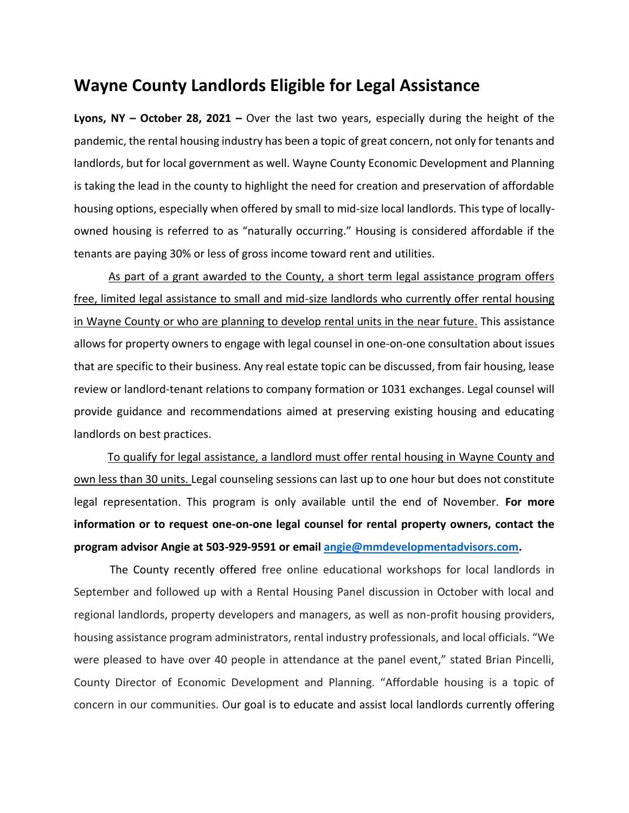## **Wayne County Landlords Eligible for Legal Assistance**

**Lyons, NY – October 28, 2021 –** Over the last two years, especially during the height of the pandemic, the rental housing industry has been a topic of great concern, not only for tenants and landlords, but for local government as well. Wayne County Economic Development and Planning is taking the lead in the county to highlight the need for creation and preservation of affordable housing options, especially when offered by small to mid-size local landlords. This type of locallyowned housing is referred to as "naturally occurring." Housing is considered affordable if the tenants are paying 30% or less of gross income toward rent and utilities.

As part of a grant awarded to the County, a short term legal assistance program offers free, limited legal assistance to small and mid-size landlords who currently offer rental housing in Wayne County or who are planning to develop rental units in the near future. This assistance allows for property owners to engage with legal counsel in one-on-one consultation about issues that are specific to their business. Any real estate topic can be discussed, from fair housing, lease review or landlord-tenant relations to company formation or 1031 exchanges. Legal counsel will provide guidance and recommendations aimed at preserving existing housing and educating landlords on best practices.

 To qualify for legal assistance, a landlord must offer rental housing in Wayne County and own less than 30 units. Legal counseling sessions can last up to one hour but does not constitute legal representation. This program is only available until the end of November. **For more information or to request one-on-one legal counsel for rental property owners, contact the program advisor Angie at 503-929-9591 or email [angie@mmdevelopmentadvisors.com.](mailto:angie@mmdevelopmentadvisors.com)** 

 The County recently offered free online educational workshops for local landlords in September and followed up with a Rental Housing Panel discussion in October with local and regional landlords, property developers and managers, as well as non-profit housing providers, housing assistance program administrators, rental industry professionals, and local officials. "We were pleased to have over 40 people in attendance at the panel event," stated Brian Pincelli, County Director of Economic Development and Planning. "Affordable housing is a topic of concern in our communities. Our goal is to educate and assist local landlords currently offering